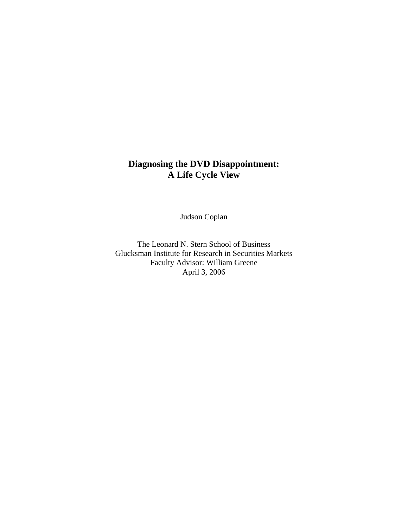# **Diagnosing the DVD Disappointment: A Life Cycle View**

Judson Coplan

The Leonard N. Stern School of Business Glucksman Institute for Research in Securities Markets Faculty Advisor: William Greene April 3, 2006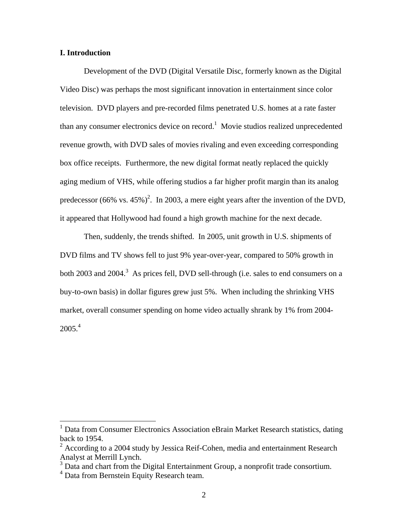### **I. Introduction**

 Development of the DVD (Digital Versatile Disc, formerly known as the Digital Video Disc) was perhaps the most significant innovation in entertainment since color television. DVD players and pre-recorded films penetrated U.S. homes at a rate faster than any consumer electronics device on record.<sup>1</sup> Movie studios realized unprecedented revenue growth, with DVD sales of movies rivaling and even exceeding corresponding box office receipts. Furthermore, the new digital format neatly replaced the quickly aging medium of VHS, while offering studios a far higher profit margin than its analog predecessor  $(66\% \text{ vs. } 45\%)^2$ . In 2003, a mere eight years after the invention of the DVD, it appeared that Hollywood had found a high growth machine for the next decade.

 Then, suddenly, the trends shifted. In 2005, unit growth in U.S. shipments of DVD films and TV shows fell to just 9% year-over-year, compared to 50% growth in both 2003 and 2004.<sup>3</sup> As prices fell, DVD sell-through (i.e. sales to end consumers on a buy-to-own basis) in dollar figures grew just 5%. When including the shrinking VHS market, overall consumer spending on home video actually shrank by 1% from 2004-  $2005.<sup>4</sup>$ 

<sup>&</sup>lt;sup>1</sup> Data from Consumer Electronics Association eBrain Market Research statistics, dating back to 1954.

 $2$  According to a 2004 study by Jessica Reif-Cohen, media and entertainment Research Analyst at Merrill Lynch.

<sup>&</sup>lt;sup>3</sup> Data and chart from the Digital Entertainment Group, a nonprofit trade consortium.

<sup>&</sup>lt;sup>4</sup> Data from Bernstein Equity Research team.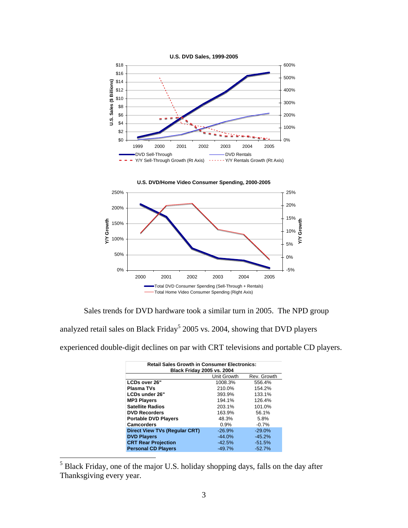





Sales trends for DVD hardware took a similar turn in 2005. The NPD group analyzed retail sales on Black Friday<sup>5</sup> 2005 vs. 2004, showing that DVD players experienced double-digit declines on par with CRT televisions and portable CD players.

| <b>Retail Sales Growth in Consumer Electronics:</b><br><b>Black Friday 2005 vs. 2004</b> |             |             |  |  |  |  |
|------------------------------------------------------------------------------------------|-------------|-------------|--|--|--|--|
|                                                                                          | Unit Growth | Rev. Growth |  |  |  |  |
| LCDs over 26"                                                                            | 1008.3%     | 556.4%      |  |  |  |  |
| <b>Plasma TVs</b>                                                                        | 210.0%      | 154.2%      |  |  |  |  |
| LCDs under 26"                                                                           | 393.9%      | 133.1%      |  |  |  |  |
| <b>MP3 Players</b>                                                                       | 194.1%      | 126.4%      |  |  |  |  |
| <b>Satellite Radios</b>                                                                  | 203.1%      | 101.0%      |  |  |  |  |
| <b>DVD Recorders</b>                                                                     | 163.9%      | 56.1%       |  |  |  |  |
| <b>Portable DVD Players</b>                                                              | 48.3%       | 5.8%        |  |  |  |  |
| <b>Camcorders</b>                                                                        | 0.9%        | $-0.7%$     |  |  |  |  |
| Direct View TVs (Regular CRT)                                                            | $-26.9%$    | $-29.0%$    |  |  |  |  |
| <b>DVD Players</b>                                                                       | $-44.0%$    | $-45.2%$    |  |  |  |  |
| <b>CRT Rear Projection</b>                                                               | $-42.5%$    | $-51.5%$    |  |  |  |  |
| <b>Personal CD Players</b>                                                               | $-49.7%$    | $-52.7%$    |  |  |  |  |

<sup>&</sup>lt;sup>5</sup> Black Friday, one of the major U.S. holiday shopping days, falls on the day after Thanksgiving every year.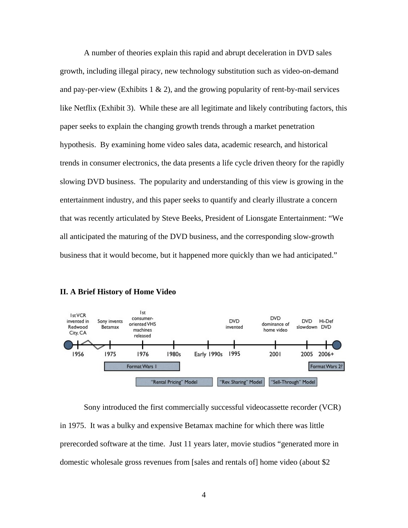A number of theories explain this rapid and abrupt deceleration in DVD sales growth, including illegal piracy, new technology substitution such as video-on-demand and pay-per-view (Exhibits  $1 \& 2$ ), and the growing popularity of rent-by-mail services like Netflix (Exhibit 3). While these are all legitimate and likely contributing factors, this paper seeks to explain the changing growth trends through a market penetration hypothesis. By examining home video sales data, academic research, and historical trends in consumer electronics, the data presents a life cycle driven theory for the rapidly slowing DVD business. The popularity and understanding of this view is growing in the entertainment industry, and this paper seeks to quantify and clearly illustrate a concern that was recently articulated by Steve Beeks, President of Lionsgate Entertainment: "We all anticipated the maturing of the DVD business, and the corresponding slow-growth business that it would become, but it happened more quickly than we had anticipated."





Sony introduced the first commercially successful videocassette recorder (VCR) in 1975. It was a bulky and expensive Betamax machine for which there was little prerecorded software at the time. Just 11 years later, movie studios "generated more in domestic wholesale gross revenues from [sales and rentals of] home video (about \$2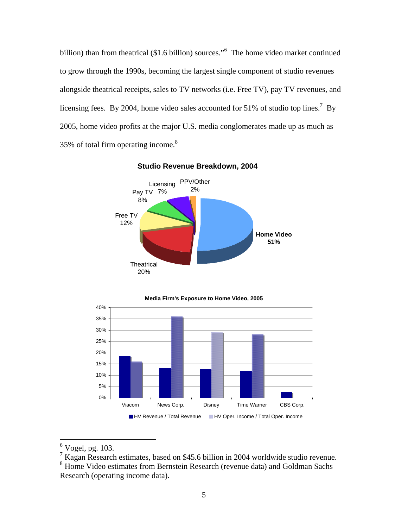billion) than from theatrical (\$1.6 billion) sources."<sup>6</sup> The home video market continued to grow through the 1990s, becoming the largest single component of studio revenues alongside theatrical receipts, sales to TV networks (i.e. Free TV), pay TV revenues, and licensing fees. By 2004, home video sales accounted for 51% of studio top lines.<sup>7</sup> By 2005, home video profits at the major U.S. media conglomerates made up as much as 35% of total firm operating income.<sup>8</sup>



**Studio Revenue Breakdown, 2004**



 $<sup>6</sup>$  Vogel, pg. 103.</sup>

<sup>&</sup>lt;sup>7</sup> Kagan Research estimates, based on \$45.6 billion in 2004 worldwide studio revenue.

<sup>&</sup>lt;sup>8</sup> Home Video estimates from Bernstein Research (revenue data) and Goldman Sachs Research (operating income data).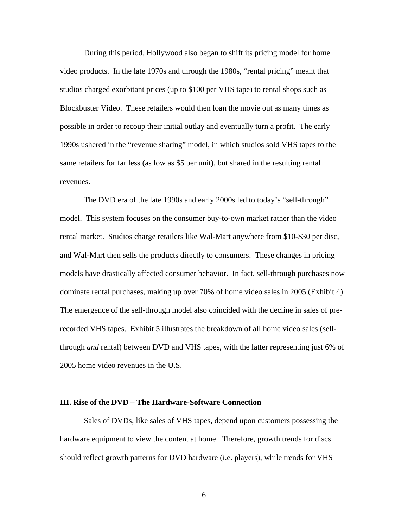During this period, Hollywood also began to shift its pricing model for home video products. In the late 1970s and through the 1980s, "rental pricing" meant that studios charged exorbitant prices (up to \$100 per VHS tape) to rental shops such as Blockbuster Video. These retailers would then loan the movie out as many times as possible in order to recoup their initial outlay and eventually turn a profit. The early 1990s ushered in the "revenue sharing" model, in which studios sold VHS tapes to the same retailers for far less (as low as \$5 per unit), but shared in the resulting rental revenues.

The DVD era of the late 1990s and early 2000s led to today's "sell-through" model. This system focuses on the consumer buy-to-own market rather than the video rental market. Studios charge retailers like Wal-Mart anywhere from \$10-\$30 per disc, and Wal-Mart then sells the products directly to consumers. These changes in pricing models have drastically affected consumer behavior. In fact, sell-through purchases now dominate rental purchases, making up over 70% of home video sales in 2005 (Exhibit 4). The emergence of the sell-through model also coincided with the decline in sales of prerecorded VHS tapes. Exhibit 5 illustrates the breakdown of all home video sales (sellthrough *and* rental) between DVD and VHS tapes, with the latter representing just 6% of 2005 home video revenues in the U.S.

#### **III. Rise of the DVD – The Hardware-Software Connection**

Sales of DVDs, like sales of VHS tapes, depend upon customers possessing the hardware equipment to view the content at home. Therefore, growth trends for discs should reflect growth patterns for DVD hardware (i.e. players), while trends for VHS

6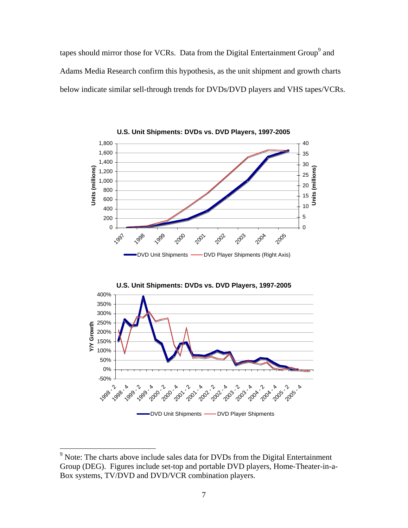tapes should mirror those for VCRs. Data from the Digital Entertainment Group<sup>9</sup> and Adams Media Research confirm this hypothesis, as the unit shipment and growth charts below indicate similar sell-through trends for DVDs/DVD players and VHS tapes/VCRs.





Western Conservative Superiors and the Conservative of the Conservative of the Conservative of Note: The charts above include sales data for DVDs from the Digital Entertainment Group (DEG). Figures include set-top and portable DVD players, Home-Theater-in-a-Box systems, TV/DVD and DVD/VCR combination players.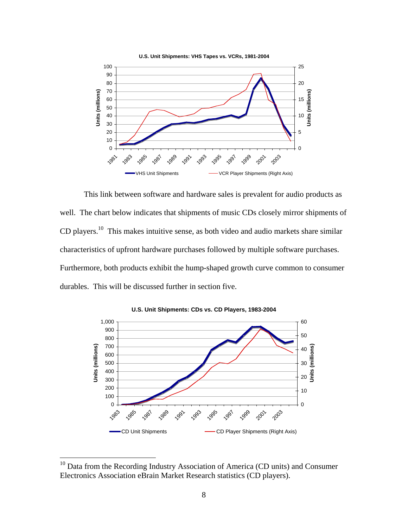

This link between software and hardware sales is prevalent for audio products as well. The chart below indicates that shipments of music CDs closely mirror shipments of CD players.<sup>10</sup> This makes intuitive sense, as both video and audio markets share similar characteristics of upfront hardware purchases followed by multiple software purchases. Furthermore, both products exhibit the hump-shaped growth curve common to consumer durables. This will be discussed further in section five.



 Data from the Recording Industry Association of America (CD units) and Consumer Electronics Association eBrain Market Research statistics (CD players).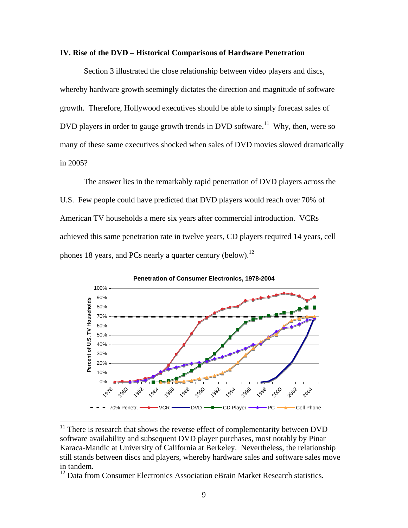#### **IV. Rise of the DVD – Historical Comparisons of Hardware Penetration**

Section 3 illustrated the close relationship between video players and discs, whereby hardware growth seemingly dictates the direction and magnitude of software growth. Therefore, Hollywood executives should be able to simply forecast sales of DVD players in order to gauge growth trends in DVD software.<sup>11</sup> Why, then, were so many of these same executives shocked when sales of DVD movies slowed dramatically in 2005?

 The answer lies in the remarkably rapid penetration of DVD players across the U.S. Few people could have predicted that DVD players would reach over 70% of American TV households a mere six years after commercial introduction. VCRs achieved this same penetration rate in twelve years, CD players required 14 years, cell phones 18 years, and PCs nearly a quarter century (below).<sup>12</sup>



 $11$  There is research that shows the reverse effect of complementarity between DVD software availability and subsequent DVD player purchases, most notably by Pinar Karaca-Mandic at University of California at Berkeley. Nevertheless, the relationship still stands between discs and players, whereby hardware sales and software sales move in tandem.

<u>.</u>

<sup>&</sup>lt;sup>12</sup> Data from Consumer Electronics Association eBrain Market Research statistics.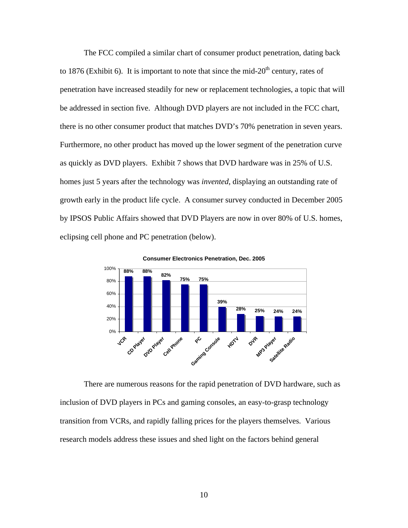The FCC compiled a similar chart of consumer product penetration, dating back to 1876 (Exhibit 6). It is important to note that since the mid- $20<sup>th</sup>$  century, rates of penetration have increased steadily for new or replacement technologies, a topic that will be addressed in section five. Although DVD players are not included in the FCC chart, there is no other consumer product that matches DVD's 70% penetration in seven years. Furthermore, no other product has moved up the lower segment of the penetration curve as quickly as DVD players. Exhibit 7 shows that DVD hardware was in 25% of U.S. homes just 5 years after the technology was *invented*, displaying an outstanding rate of growth early in the product life cycle. A consumer survey conducted in December 2005 by IPSOS Public Affairs showed that DVD Players are now in over 80% of U.S. homes, eclipsing cell phone and PC penetration (below).



**Consumer Electronics Penetration, Dec. 2005**

There are numerous reasons for the rapid penetration of DVD hardware, such as inclusion of DVD players in PCs and gaming consoles, an easy-to-grasp technology transition from VCRs, and rapidly falling prices for the players themselves. Various research models address these issues and shed light on the factors behind general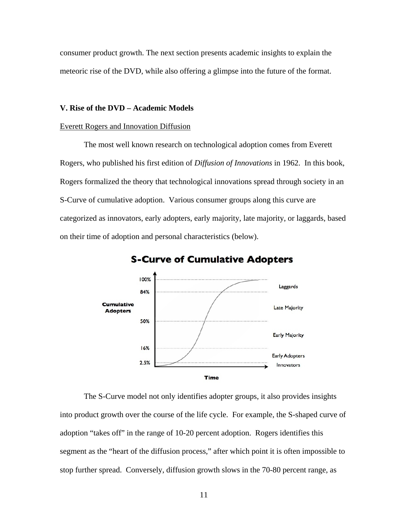consumer product growth. The next section presents academic insights to explain the meteoric rise of the DVD, while also offering a glimpse into the future of the format.

### **V. Rise of the DVD – Academic Models**

### Everett Rogers and Innovation Diffusion

The most well known research on technological adoption comes from Everett Rogers, who published his first edition of *Diffusion of Innovations* in 1962. In this book, Rogers formalized the theory that technological innovations spread through society in an S-Curve of cumulative adoption. Various consumer groups along this curve are categorized as innovators, early adopters, early majority, late majority, or laggards, based on their time of adoption and personal characteristics (below).



**S-Curve of Cumulative Adopters** 

 The S-Curve model not only identifies adopter groups, it also provides insights into product growth over the course of the life cycle. For example, the S-shaped curve of adoption "takes off" in the range of 10-20 percent adoption. Rogers identifies this segment as the "heart of the diffusion process," after which point it is often impossible to stop further spread. Conversely, diffusion growth slows in the 70-80 percent range, as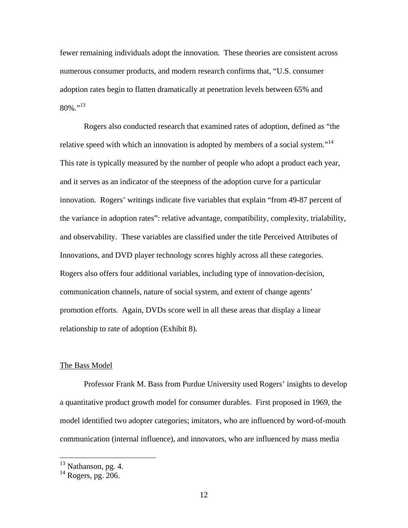fewer remaining individuals adopt the innovation. These theories are consistent across numerous consumer products, and modern research confirms that, "U.S. consumer adoption rates begin to flatten dramatically at penetration levels between 65% and  $80\%$ ."<sup>13</sup>

Rogers also conducted research that examined rates of adoption, defined as "the relative speed with which an innovation is adopted by members of a social system."<sup>14</sup> This rate is typically measured by the number of people who adopt a product each year, and it serves as an indicator of the steepness of the adoption curve for a particular innovation. Rogers' writings indicate five variables that explain "from 49-87 percent of the variance in adoption rates": relative advantage, compatibility, complexity, trialability, and observability. These variables are classified under the title Perceived Attributes of Innovations, and DVD player technology scores highly across all these categories. Rogers also offers four additional variables, including type of innovation-decision, communication channels, nature of social system, and extent of change agents' promotion efforts. Again, DVDs score well in all these areas that display a linear relationship to rate of adoption (Exhibit 8).

#### The Bass Model

Professor Frank M. Bass from Purdue University used Rogers' insights to develop a quantitative product growth model for consumer durables. First proposed in 1969, the model identified two adopter categories; imitators, who are influenced by word-of-mouth communication (internal influence), and innovators, who are influenced by mass media

 $13$  Nathanson, pg. 4.

 $14$  Rogers, pg. 206.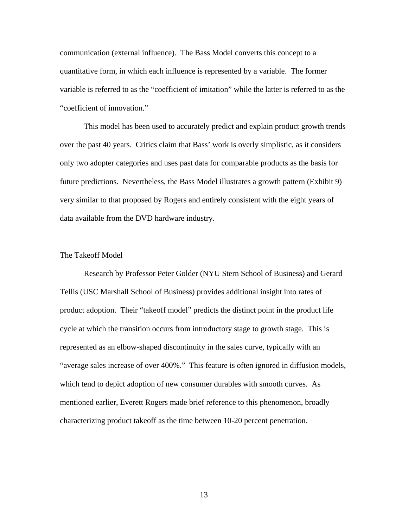communication (external influence). The Bass Model converts this concept to a quantitative form, in which each influence is represented by a variable. The former variable is referred to as the "coefficient of imitation" while the latter is referred to as the "coefficient of innovation."

This model has been used to accurately predict and explain product growth trends over the past 40 years. Critics claim that Bass' work is overly simplistic, as it considers only two adopter categories and uses past data for comparable products as the basis for future predictions. Nevertheless, the Bass Model illustrates a growth pattern (Exhibit 9) very similar to that proposed by Rogers and entirely consistent with the eight years of data available from the DVD hardware industry.

#### The Takeoff Model

Research by Professor Peter Golder (NYU Stern School of Business) and Gerard Tellis (USC Marshall School of Business) provides additional insight into rates of product adoption. Their "takeoff model" predicts the distinct point in the product life cycle at which the transition occurs from introductory stage to growth stage. This is represented as an elbow-shaped discontinuity in the sales curve, typically with an "average sales increase of over 400%." This feature is often ignored in diffusion models, which tend to depict adoption of new consumer durables with smooth curves. As mentioned earlier, Everett Rogers made brief reference to this phenomenon, broadly characterizing product takeoff as the time between 10-20 percent penetration.

13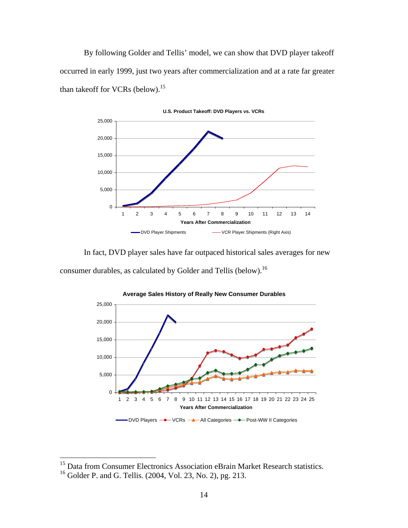By following Golder and Tellis' model, we can show that DVD player takeoff occurred in early 1999, just two years after commercialization and at a rate far greater than takeoff for VCRs (below).15



**U.S. Product Takeoff: DVD Players vs. VCRs**

In fact, DVD player sales have far outpaced historical sales averages for new

consumer durables, as calculated by Golder and Tellis (below).<sup>16</sup>



**Average Sales History of Really New Consumer Durables**

<sup>&</sup>lt;sup>15</sup> Data from Consumer Electronics Association eBrain Market Research statistics.

<sup>16</sup> Golder P. and G. Tellis. (2004, Vol. 23, No. 2), pg. 213.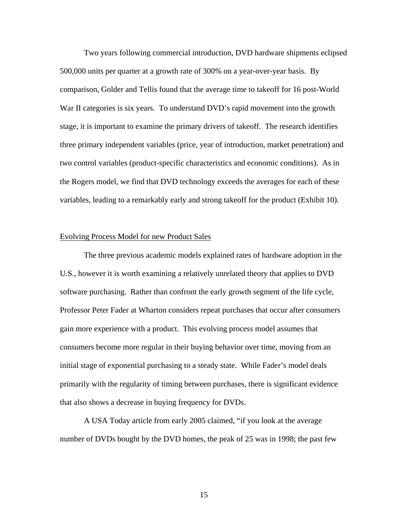Two years following commercial introduction, DVD hardware shipments eclipsed 500,000 units per quarter at a growth rate of 300% on a year-over-year basis. By comparison, Golder and Tellis found that the average time to takeoff for 16 post-World War II categories is six years. To understand DVD's rapid movement into the growth stage, it is important to examine the primary drivers of takeoff. The research identifies three primary independent variables (price, year of introduction, market penetration) and two control variables (product-specific characteristics and economic conditions). As in the Rogers model, we find that DVD technology exceeds the averages for each of these variables, leading to a remarkably early and strong takeoff for the product (Exhibit 10).

#### Evolving Process Model for new Product Sales

 The three previous academic models explained rates of hardware adoption in the U.S., however it is worth examining a relatively unrelated theory that applies to DVD software purchasing. Rather than confront the early growth segment of the life cycle, Professor Peter Fader at Wharton considers repeat purchases that occur after consumers gain more experience with a product. This evolving process model assumes that consumers become more regular in their buying behavior over time, moving from an initial stage of exponential purchasing to a steady state. While Fader's model deals primarily with the regularity of timing between purchases, there is significant evidence that also shows a decrease in buying frequency for DVDs.

 A USA Today article from early 2005 claimed, "if you look at the average number of DVDs bought by the DVD homes, the peak of 25 was in 1998; the past few

15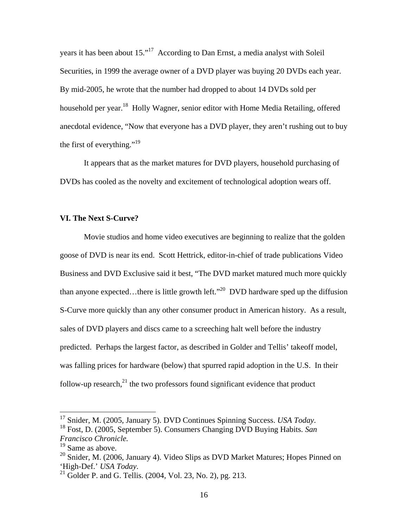years it has been about 15."17 According to Dan Ernst, a media analyst with Soleil Securities, in 1999 the average owner of a DVD player was buying 20 DVDs each year. By mid-2005, he wrote that the number had dropped to about 14 DVDs sold per household per year.<sup>18</sup> Holly Wagner, senior editor with Home Media Retailing, offered anecdotal evidence, "Now that everyone has a DVD player, they aren't rushing out to buy the first of everything."<sup>19</sup>

It appears that as the market matures for DVD players, household purchasing of DVDs has cooled as the novelty and excitement of technological adoption wears off.

### **VI. The Next S-Curve?**

 Movie studios and home video executives are beginning to realize that the golden goose of DVD is near its end. Scott Hettrick, editor-in-chief of trade publications Video Business and DVD Exclusive said it best, "The DVD market matured much more quickly than anyone expected...there is little growth left.<sup> $,20$ </sup> DVD hardware sped up the diffusion S-Curve more quickly than any other consumer product in American history. As a result, sales of DVD players and discs came to a screeching halt well before the industry predicted. Perhaps the largest factor, as described in Golder and Tellis' takeoff model, was falling prices for hardware (below) that spurred rapid adoption in the U.S. In their follow-up research, $^{21}$  the two professors found significant evidence that product

 $17$  Snider, M. (2005, January 5). DVD Continues Spinning Success. USA Today.

<sup>&</sup>lt;sup>18</sup> Fost, D. (2005, September 5). Consumers Changing DVD Buying Habits. *San* 

*Francisco Chronicle.* 

<sup>&</sup>lt;sup>19</sup> Same as above.

 $^{20}$  Snider, M. (2006, January 4). Video Slips as DVD Market Matures; Hopes Pinned on 'High-Def.' *USA Today*. 21 Golder P. and G. Tellis. (2004, Vol. 23, No. 2), pg. 213.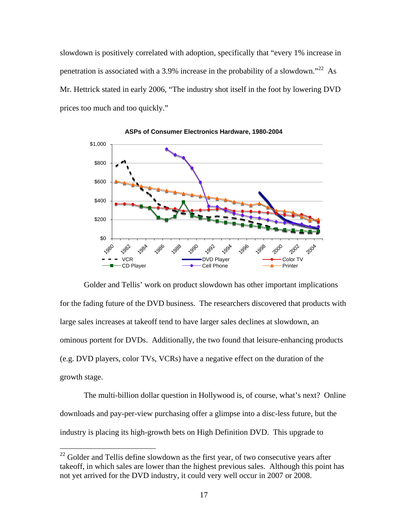slowdown is positively correlated with adoption, specifically that "every 1% increase in penetration is associated with a 3.9% increase in the probability of a slowdown.<sup> $22$ </sup> As Mr. Hettrick stated in early 2006, "The industry shot itself in the foot by lowering DVD prices too much and too quickly."





 Golder and Tellis' work on product slowdown has other important implications for the fading future of the DVD business. The researchers discovered that products with large sales increases at takeoff tend to have larger sales declines at slowdown, an ominous portent for DVDs. Additionally, the two found that leisure-enhancing products (e.g. DVD players, color TVs, VCRs) have a negative effect on the duration of the growth stage.

The multi-billion dollar question in Hollywood is, of course, what's next? Online downloads and pay-per-view purchasing offer a glimpse into a disc-less future, but the industry is placing its high-growth bets on High Definition DVD. This upgrade to

1

 $22$  Golder and Tellis define slowdown as the first year, of two consecutive years after takeoff, in which sales are lower than the highest previous sales. Although this point has not yet arrived for the DVD industry, it could very well occur in 2007 or 2008.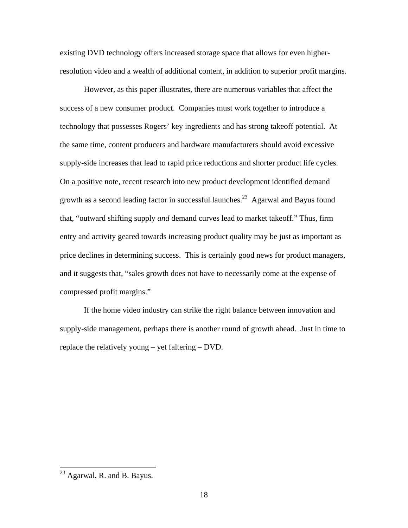existing DVD technology offers increased storage space that allows for even higherresolution video and a wealth of additional content, in addition to superior profit margins.

However, as this paper illustrates, there are numerous variables that affect the success of a new consumer product. Companies must work together to introduce a technology that possesses Rogers' key ingredients and has strong takeoff potential. At the same time, content producers and hardware manufacturers should avoid excessive supply-side increases that lead to rapid price reductions and shorter product life cycles. On a positive note, recent research into new product development identified demand growth as a second leading factor in successful launches.<sup>23</sup> Agarwal and Bayus found that, "outward shifting supply *and* demand curves lead to market takeoff." Thus, firm entry and activity geared towards increasing product quality may be just as important as price declines in determining success. This is certainly good news for product managers, and it suggests that, "sales growth does not have to necessarily come at the expense of compressed profit margins."

If the home video industry can strike the right balance between innovation and supply-side management, perhaps there is another round of growth ahead. Just in time to replace the relatively young – yet faltering – DVD.

 $^{23}$  Agarwal, R. and B. Bayus.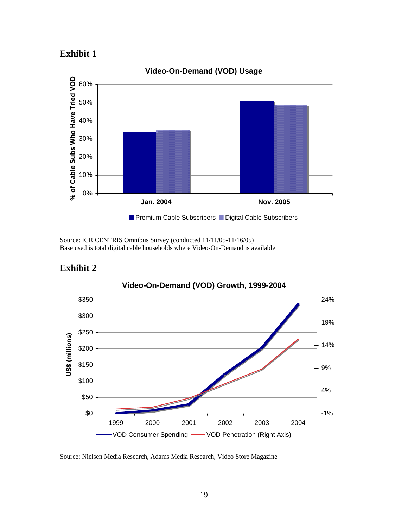

Source: ICR CENTRIS Omnibus Survey (conducted 11/11/05-11/16/05) Base used is total digital cable households where Video-On-Demand is available





Source: Nielsen Media Research, Adams Media Research, Video Store Magazine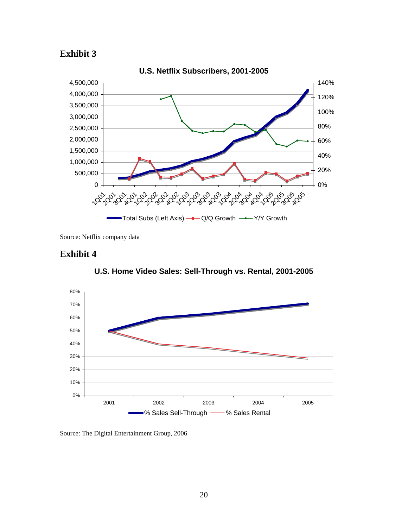

Source: Netflix company data

### **Exhibit 4**



**U.S. Home Video Sales: Sell-Through vs. Rental, 2001-2005**

Source: The Digital Entertainment Group, 2006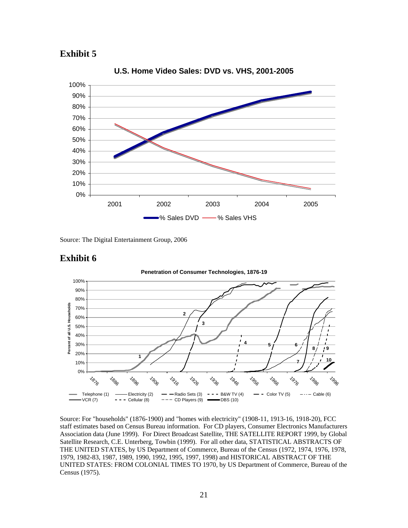

**U.S. Home Video Sales: DVD vs. VHS, 2001-2005**

Source: The Digital Entertainment Group, 2006





Source: For "households" (1876-1900) and "homes with electricity" (1908-11, 1913-16, 1918-20), FCC staff estimates based on Census Bureau information. For CD players, Consumer Electronics Manufacturers Association data (June 1999). For Direct Broadcast Satellite, THE SATELLITE REPORT 1999, by Global Satellite Research, C.E. Unterberg, Towbin (1999). For all other data, STATISTICAL ABSTRACTS OF THE UNITED STATES, by US Department of Commerce, Bureau of the Census (1972, 1974, 1976, 1978, 1979, 1982-83, 1987, 1989, 1990, 1992, 1995, 1997, 1998) and HISTORICAL ABSTRACT OF THE UNITED STATES: FROM COLONIAL TIMES TO 1970, by US Department of Commerce, Bureau of the Census (1975).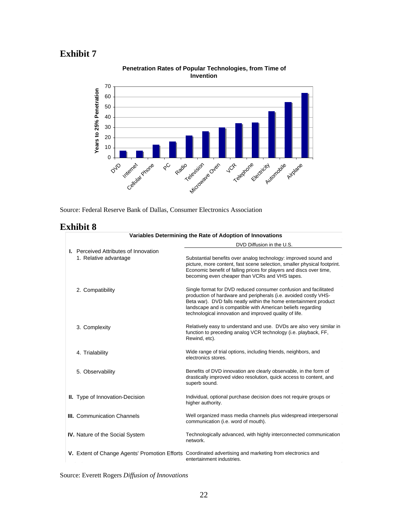

**Penetration Rates of Popular Technologies, from Time of Invention**

Source: Federal Reserve Bank of Dallas, Consumer Electronics Association

### **Exhibit 8**

|                                                                       | Variables Determining the Rate of Adoption of Innovations                                                                                                                                                                                                                                                                          |  |  |
|-----------------------------------------------------------------------|------------------------------------------------------------------------------------------------------------------------------------------------------------------------------------------------------------------------------------------------------------------------------------------------------------------------------------|--|--|
|                                                                       | DVD Diffusion in the U.S.                                                                                                                                                                                                                                                                                                          |  |  |
| <b>I.</b> Perceived Attributes of Innovation<br>1. Relative advantage | Substantial benefits over analog technology: improved sound and<br>picture, more content, fast scene selection, smaller physical footprint.<br>Economic benefit of falling prices for players and discs over time,<br>becoming even cheaper than VCRs and VHS tapes.                                                               |  |  |
| 2. Compatibility                                                      | Single format for DVD reduced consumer confusion and facilitated<br>production of hardware and peripherals (i.e. avoided costly VHS-<br>Beta war). DVD falls neatly within the home entertainment product<br>landscape and is compatible with American beliefs regarding<br>technological innovation and improved quality of life. |  |  |
| 3. Complexity                                                         | Relatively easy to understand and use. DVDs are also very similar in<br>function to preceding analog VCR technology (i.e. playback, FF,<br>Rewind, etc).                                                                                                                                                                           |  |  |
| 4. Trialability                                                       | Wide range of trial options, including friends, neighbors, and<br>electronics stores.                                                                                                                                                                                                                                              |  |  |
| 5. Observability                                                      | Benefits of DVD innovation are clearly observable, in the form of<br>drastically improved video resolution, quick access to content, and<br>superb sound.                                                                                                                                                                          |  |  |
| <b>II.</b> Type of Innovation-Decision                                | Individual, optional purchase decision does not require groups or<br>higher authority.                                                                                                                                                                                                                                             |  |  |
| <b>III.</b> Communication Channels                                    | Well organized mass media channels plus widespread interpersonal<br>communication (i.e. word of mouth).                                                                                                                                                                                                                            |  |  |
| <b>IV.</b> Nature of the Social System                                | Technologically advanced, with highly interconnected communication<br>network.                                                                                                                                                                                                                                                     |  |  |
|                                                                       | V. Extent of Change Agents' Promotion Efforts Coordinated advertising and marketing from electronics and<br>entertainment industries.                                                                                                                                                                                              |  |  |

Source: Everett Rogers *Diffusion of Innovations*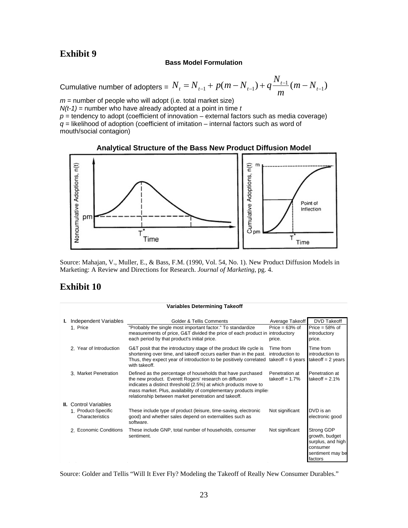### **Bass Model Formulation**

Cumulative number of adopters =  $N_{_t}=N_{_{t-1}}+p(m-N_{_{t-1}})+q$ *N*<sub>t−1</sub> *m*  $(m - N_{t-1})$ 

 $m$  = number of people who will adopt (i.e. total market size)

*N(t-1)* = number who have already adopted at a point in time *t* 

 $p =$  tendency to adopt (coefficient of innovation – external factors such as media coverage)  $q$  = likelihood of adoption (coefficient of imitation – internal factors such as word of mouth/social contagion)



Source: Mahajan, V., Muller, E., & Bass, F.M. (1990, Vol. 54, No. 1). New Product Diffusion Models in Marketing: A Review and Directions for Research. *Journal of Marketing*, pg. 4.

# **Exhibit 10**

| <b>Variables Determining Takeoff</b> |                                        |                                                                                                                                                                                                                                                                                                                       |                                                     |                                                                                              |  |  |  |
|--------------------------------------|----------------------------------------|-----------------------------------------------------------------------------------------------------------------------------------------------------------------------------------------------------------------------------------------------------------------------------------------------------------------------|-----------------------------------------------------|----------------------------------------------------------------------------------------------|--|--|--|
|                                      | Independent Variables<br>1. Price      | <b>Golder &amp; Tellis Comments</b><br>"Probably the single most important factor." To standardize                                                                                                                                                                                                                    | Average Takeoff<br>Price = $63\%$ of                | <b>DVD Takeoff</b><br>Price = $58\%$ of                                                      |  |  |  |
|                                      |                                        | measurements of price, G&T divided the price of each product in introductory<br>each period by that product's initial price.                                                                                                                                                                                          | price.                                              | introductory<br>price.                                                                       |  |  |  |
|                                      | 2. Year of Introduction                | G&T posit that the introductory stage of the product life cycle is<br>shortening over time, and takeoff occurs earlier than in the past.<br>Thus, they expect year of introduction to be positively correlated<br>with takeoff.                                                                                       | Time from<br>introduction to<br>takeoff = $6$ years | Time from<br>introduction to<br>take of $f = 2$ years                                        |  |  |  |
|                                      | 3. Market Penetration                  | Defined as the percentage of households that have purchased<br>the new product. Everett Rogers' research on diffusion<br>indicates a distinct threshold (2.5%) at which products move to<br>mass market. Plus, availability of complementary products implies<br>relationship between market penetration and takeoff. | Penetration at<br>takeoff = $1.7\%$                 | Penetration at<br>takeoff = $2.1\%$                                                          |  |  |  |
|                                      | <b>II.</b> Control Variables           |                                                                                                                                                                                                                                                                                                                       |                                                     |                                                                                              |  |  |  |
|                                      | 1. Product-Specific<br>Characteristics | These include type of product (leisure, time-saving, electronic<br>good) and whether sales depend on externalities such as<br>software.                                                                                                                                                                               | Not significant                                     | DVD is an<br>electronic good                                                                 |  |  |  |
|                                      | 2. Economic Conditions                 | These include GNP, total number of households, consumer<br>sentiment.                                                                                                                                                                                                                                                 | Not significant                                     | Strong GDP<br>growth, budget<br>surplus, and high<br>consumer<br>sentiment may be<br>factors |  |  |  |

Source: Golder and Tellis "Will It Ever Fly? Modeling the Takeoff of Really New Consumer Durables."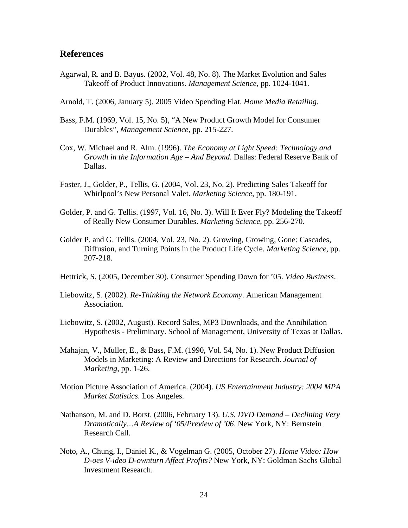### **References**

- Agarwal, R. and B. Bayus. (2002, Vol. 48, No. 8). The Market Evolution and Sales Takeoff of Product Innovations. *Management Science*, pp. 1024-1041.
- Arnold, T. (2006, January 5). 2005 Video Spending Flat. *Home Media Retailing*.
- Bass, F.M. (1969, Vol. 15, No. 5), "A New Product Growth Model for Consumer Durables", *Management Science*, pp. 215-227.
- Cox, W. Michael and R. Alm. (1996). *The Economy at Light Speed: Technology and Growth in the Information Age – And Beyond*. Dallas: Federal Reserve Bank of Dallas.
- Foster, J., Golder, P., Tellis, G. (2004, Vol. 23, No. 2). Predicting Sales Takeoff for Whirlpool's New Personal Valet. *Marketing Science*, pp. 180-191.
- Golder, P. and G. Tellis. (1997, Vol. 16, No. 3). Will It Ever Fly? Modeling the Takeoff of Really New Consumer Durables. *Marketing Science*, pp. 256-270.
- Golder P. and G. Tellis. (2004, Vol. 23, No. 2). Growing, Growing, Gone: Cascades, Diffusion, and Turning Points in the Product Life Cycle. *Marketing Science*, pp. 207-218.
- Hettrick, S. (2005, December 30). Consumer Spending Down for '05. *Video Business*.
- Liebowitz, S. (2002). *Re-Thinking the Network Economy*. American Management Association.
- Liebowitz, S. (2002, August). Record Sales, MP3 Downloads, and the Annihilation Hypothesis - Preliminary. School of Management, University of Texas at Dallas.
- Mahajan, V., Muller, E., & Bass, F.M. (1990, Vol. 54, No. 1). New Product Diffusion Models in Marketing: A Review and Directions for Research. *Journal of Marketing*, pp. 1-26.
- Motion Picture Association of America. (2004). *US Entertainment Industry: 2004 MPA Market Statistics*. Los Angeles.
- Nathanson, M. and D. Borst. (2006, February 13). *U.S. DVD Demand Declining Very Dramatically…A Review of '05/Preview of '06*. New York, NY: Bernstein Research Call.
- Noto, A., Chung, I., Daniel K., & Vogelman G. (2005, October 27). *Home Video: How D-oes V-ideo D-ownturn Affect Profits?* New York, NY: Goldman Sachs Global Investment Research.